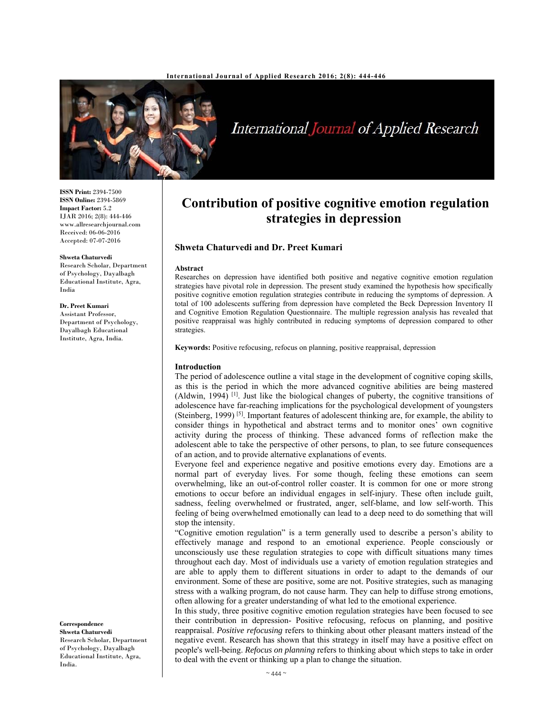

International Journal of Applied Research

**ISSN Print:** 2394-7500 **ISSN Online:** 2394-5869 **Impact Factor:** 5.2 IJAR 2016; 2(8): 444-446 www.allresearchjournal.com Received: 06-06-2016 Accepted: 07-07-2016

#### **Shweta Chaturvedi**

Research Scholar, Department of Psychology, Dayalbagh Educational Institute, Agra, India

#### **Dr. Preet Kumari**

Assistant Professor, Department of Psychology, Dayalbagh Educational Institute, Agra, India.

**Correspondence**

**Shweta Chaturvedi**  Research Scholar, Department of Psychology, Dayalbagh Educational Institute, Agra, India.

# **Contribution of positive cognitive emotion regulation strategies in depression**

# **Shweta Chaturvedi and Dr. Preet Kumari**

#### **Abstract**

Researches on depression have identified both positive and negative cognitive emotion regulation strategies have pivotal role in depression. The present study examined the hypothesis how specifically positive cognitive emotion regulation strategies contribute in reducing the symptoms of depression. A total of 100 adolescents suffering from depression have completed the Beck Depression Inventory II and Cognitive Emotion Regulation Questionnaire. The multiple regression analysis has revealed that positive reappraisal was highly contributed in reducing symptoms of depression compared to other strategies.

**Keywords:** Positive refocusing, refocus on planning, positive reappraisal, depression

#### **Introduction**

The period of adolescence outline a vital stage in the development of cognitive coping skills, as this is the period in which the more advanced cognitive abilities are being mastered (Aldwin, 1994)  $\left[1\right]$ . Just like the biological changes of puberty, the cognitive transitions of adolescence have far-reaching implications for the psychological development of youngsters (Steinberg, 1999) [5]. Important features of adolescent thinking are, for example, the ability to consider things in hypothetical and abstract terms and to monitor ones' own cognitive activity during the process of thinking. These advanced forms of reflection make the adolescent able to take the perspective of other persons, to plan, to see future consequences of an action, and to provide alternative explanations of events.

Everyone feel and experience negative and positive emotions every day. Emotions are a normal part of everyday lives. For some though, feeling these emotions can seem overwhelming, like an out-of-control roller coaster. It is common for one or more strong emotions to occur before an individual engages in self-injury. These often include guilt, sadness, feeling overwhelmed or frustrated, anger, self-blame, and low self-worth. This feeling of being overwhelmed emotionally can lead to a deep need to do something that will stop the intensity.

"Cognitive emotion regulation" is a term generally used to describe a person's ability to effectively manage and respond to an emotional experience. People consciously or unconsciously use these regulation strategies to cope with difficult situations many times throughout each day. Most of individuals use a variety of emotion regulation strategies and are able to apply them to different situations in order to adapt to the demands of our environment. Some of these are positive, some are not. Positive strategies, such as managing stress with a walking program, do not cause harm. They can help to diffuse strong emotions, often allowing for a greater understanding of what led to the emotional experience.

In this study, three positive cognitive emotion regulation strategies have been focused to see their contribution in depression- Positive refocusing, refocus on planning, and positive reappraisal. *Positive refocusing* refers to thinking about other pleasant matters instead of the negative event. Research has shown that this strategy in itself may have a positive effect on people's well-being. *Refocus on planning* refers to thinking about which steps to take in order to deal with the event or thinking up a plan to change the situation.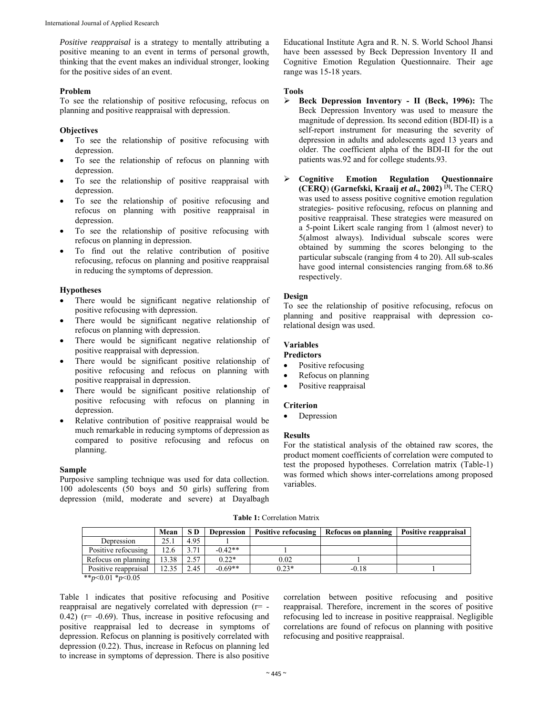*Positive reappraisal* is a strategy to mentally attributing a positive meaning to an event in terms of personal growth, thinking that the event makes an individual stronger, looking for the positive sides of an event.

## **Problem**

To see the relationship of positive refocusing, refocus on planning and positive reappraisal with depression.

## **Objectives**

- To see the relationship of positive refocusing with depression.
- To see the relationship of refocus on planning with depression.
- To see the relationship of positive reappraisal with depression.
- To see the relationship of positive refocusing and refocus on planning with positive reappraisal in depression.
- To see the relationship of positive refocusing with refocus on planning in depression.
- To find out the relative contribution of positive refocusing, refocus on planning and positive reappraisal in reducing the symptoms of depression.

#### **Hypotheses**

- There would be significant negative relationship of positive refocusing with depression.
- There would be significant negative relationship of refocus on planning with depression.
- There would be significant negative relationship of positive reappraisal with depression.
- There would be significant positive relationship of positive refocusing and refocus on planning with positive reappraisal in depression.
- There would be significant positive relationship of positive refocusing with refocus on planning in depression.
- Relative contribution of positive reappraisal would be much remarkable in reducing symptoms of depression as compared to positive refocusing and refocus on planning.

#### **Sample**

Purposive sampling technique was used for data collection. 100 adolescents (50 boys and 50 girls) suffering from depression (mild, moderate and severe) at Dayalbagh Educational Institute Agra and R. N. S. World School Jhansi have been assessed by Beck Depression Inventory II and Cognitive Emotion Regulation Questionnaire. Their age range was 15-18 years.

#### **Tools**

- **Beck Depression Inventory II (Beck, 1996):** The Beck Depression Inventory was used to measure the magnitude of depression. Its second edition (BDI-II) is a self-report instrument for measuring the severity of depression in adults and adolescents aged 13 years and older. The coefficient alpha of the BDI-II for the out patients was.92 and for college students.93.
- **Cognitive Emotion Regulation Questionnaire (CERQ**) **(Garnefski, Kraaij** *et al***., 2002) [3].** The CERQ was used to assess positive cognitive emotion regulation strategies- positive refocusing, refocus on planning and positive reappraisal. These strategies were measured on a 5-point Likert scale ranging from 1 (almost never) to 5(almost always). Individual subscale scores were obtained by summing the scores belonging to the particular subscale (ranging from 4 to 20). All sub-scales have good internal consistencies ranging from.68 to.86 respectively.

## **Design**

To see the relationship of positive refocusing, refocus on planning and positive reappraisal with depression corelational design was used.

## **Variables**

- **Predictors**
- Positive refocusing
- Refocus on planning
- Positive reappraisal

## **Criterion**

• Depression

#### **Results**

For the statistical analysis of the obtained raw scores, the product moment coefficients of correlation were computed to test the proposed hypotheses. Correlation matrix (Table-1) was formed which shows inter-correlations among proposed variables.

#### **Table 1:** Correlation Matrix

|                      | Mean  | SD.  | <b>Depression</b> | <b>Positive refocusing</b> | Refocus on planning | Positive reappraisal |
|----------------------|-------|------|-------------------|----------------------------|---------------------|----------------------|
| Depression           | 25.1  | 4.95 |                   |                            |                     |                      |
| Positive refocusing  | 12.6  | 3.71 | $-0.42**$         |                            |                     |                      |
| Refocus on planning  | 13.38 | 2.57 | $0.22*$           | 0.02                       |                     |                      |
| Positive reappraisal | 12.35 | 2.45 | $-0.69**$         | $0.23*$                    | $-0.18$             |                      |
| $+ + -0.01 + -0.07$  |       |      |                   |                            |                     |                      |

\*\**p*<0.01 \**p*<0.05

Table 1 indicates that positive refocusing and Positive reappraisal are negatively correlated with depression (r= -  $(0.42)$  (r=  $-0.69$ ). Thus, increase in positive refocusing and positive reappraisal led to decrease in symptoms of depression. Refocus on planning is positively correlated with depression (0.22). Thus, increase in Refocus on planning led to increase in symptoms of depression. There is also positive

correlation between positive refocusing and positive reappraisal. Therefore, increment in the scores of positive refocusing led to increase in positive reappraisal. Negligible correlations are found of refocus on planning with positive refocusing and positive reappraisal.